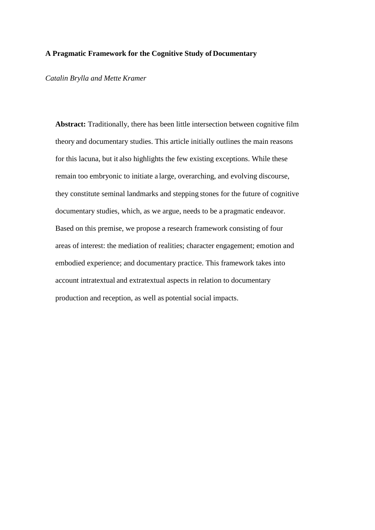## **A Pragmatic Framework for the Cognitive Study of Documentary**

*Catalin Brylla and Mette Kramer*

**Abstract:** Traditionally, there has been little intersection between cognitive film theory and documentary studies. This article initially outlines the main reasons for this lacuna, but it also highlights the few existing exceptions. While these remain too embryonic to initiate a large, overarching, and evolving discourse, they constitute seminal landmarks and stepping stones for the future of cognitive documentary studies, which, as we argue, needs to be a pragmatic endeavor. Based on this premise, we propose a research framework consisting of four areas of interest: the mediation of realities; character engagement; emotion and embodied experience; and documentary practice. This framework takes into account intratextual and extratextual aspects in relation to documentary production and reception, as well as potential social impacts.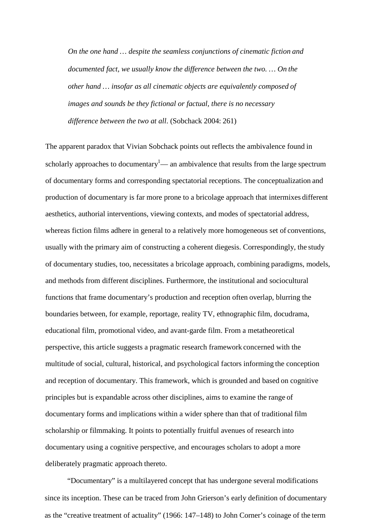*On the one hand … despite the seamless conjunctions of cinematic fiction and documented fact, we usually know the difference between the two. … On the other hand … insofar as all cinematic objects are equivalently composed of images and sounds be they fictional or factual, there is no necessary difference between the two at all*. (Sobchack 2004: 261)

The apparent paradox that Vivian Sobchack points out reflects the ambivalence found in scholarly approaches to documentary<sup>1</sup>— an ambivalence that results from the large spectrum of documentary forms and corresponding spectatorial receptions. The conceptualization and production of documentary is far more prone to a bricolage approach that intermixes different aesthetics, authorial interventions, viewing contexts, and modes of spectatorial address, whereas fiction films adhere in general to a relatively more homogeneous set of conventions, usually with the primary aim of constructing a coherent diegesis. Correspondingly, the study of documentary studies, too, necessitates a bricolage approach, combining paradigms, models, and methods from different disciplines. Furthermore, the institutional and sociocultural functions that frame documentary's production and reception often overlap, blurring the boundaries between, for example, reportage, reality TV, ethnographic film, docudrama, educational film, promotional video, and avant-garde film. From a metatheoretical perspective, this article suggests a pragmatic research framework concerned with the multitude of social, cultural, historical, and psychological factors informing the conception and reception of documentary. This framework, which is grounded and based on cognitive principles but is expandable across other disciplines, aims to examine the range of documentary forms and implications within a wider sphere than that of traditional film scholarship or filmmaking. It points to potentially fruitful avenues of research into documentary using a cognitive perspective, and encourages scholars to adopt a more deliberately pragmatic approach thereto.

"Documentary" is a multilayered concept that has undergone several modifications since its inception. These can be traced from John Grierson's early definition of documentary as the "creative treatment of actuality" (1966: 147–148) to John Corner's coinage of the term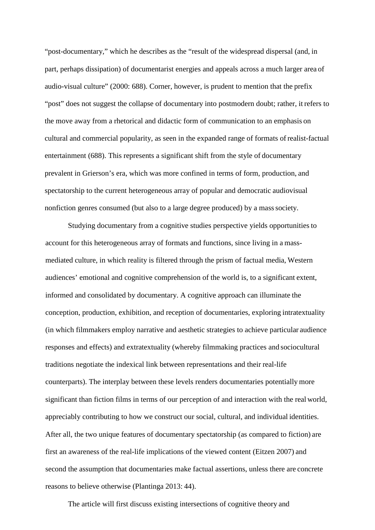"post-documentary," which he describes as the "result of the widespread dispersal (and, in part, perhaps dissipation) of documentarist energies and appeals across a much larger area of audio-visual culture" (2000: 688). Corner, however, is prudent to mention that the prefix "post" does not suggest the collapse of documentary into postmodern doubt; rather, it refers to the move away from a rhetorical and didactic form of communication to an emphasis on cultural and commercial popularity, as seen in the expanded range of formats of realist-factual entertainment (688). This represents a significant shift from the style of documentary prevalent in Grierson's era, which was more confined in terms of form, production, and spectatorship to the current heterogeneous array of popular and democratic audiovisual nonfiction genres consumed (but also to a large degree produced) by a mass society.

<span id="page-2-0"></span>Studying documentary from a cognitive studies perspective yields opportunities to account for this heterogeneous array of formats and functions, since living in a massmediated culture, in which reality is filtered through the prism of factual media, Western audiences' emotional and cognitive comprehension of the world is, to a significant extent, informed and consolidated by documentary. A cognitive approach can illuminate the conception, production, exhibition, and reception of documentaries, exploring intratextuality (in which filmmakers employ narrative and aesthetic strategies to achieve particular audience responses and effects) and extratextuality (whereby filmmaking practices and sociocultural traditions negotiate the indexical link between representations and their real-life counterparts). The interplay between these levels renders documentaries potentially more significant than fiction films in terms of our perception of and interaction with the real world, appreciably contributing to how we construct our social, cultural, and individual identities. After all, the two unique features of documentary spectatorship (as compared to fiction) are first an awareness of the real-life implications of the viewed content (Eitzen 2007) and second the assumption that documentaries make factual assertions, unless there are concrete reasons to believe otherwise (Plantinga 2013: 44).

The article will first discuss existing intersections of cognitive theory and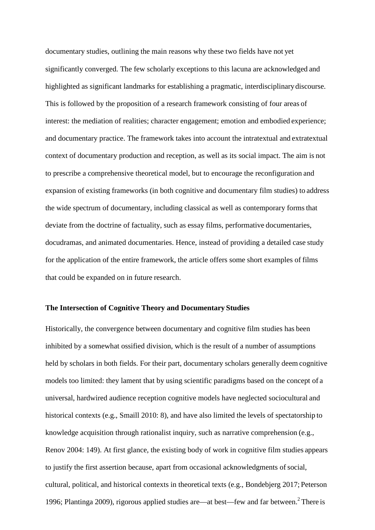documentary studies, outlining the main reasons why these two fields have not yet significantly converged. The few scholarly exceptions to this lacuna are acknowledged and highlighted as significant landmarks for establishing a pragmatic, interdisciplinarydiscourse. This is followed by the proposition of a research framework consisting of four areas of interest: the mediation of realities; character engagement; emotion and embodied experience; and documentary practice. The framework takes into account the intratextual and extratextual context of documentary production and reception, as well as its social impact. The aim is not to prescribe a comprehensive theoretical model, but to encourage the reconfiguration and expansion of existing frameworks (in both cognitive and documentary film studies) to address the wide spectrum of documentary, including classical as well as contemporary formsthat deviate from the doctrine of factuality, such as essay films, performative documentaries, docudramas, and animated documentaries. Hence, instead of providing a detailed case study for the application of the entire framework, the article offers some short examples of films that could be expanded on in future research.

## **The Intersection of Cognitive Theory and Documentary Studies**

<span id="page-3-0"></span>Historically, the convergence between documentary and cognitive film studies has been inhibited by a somewhat ossified division, which is the result of a number of assumptions held by scholars in both fields. For their part, documentary scholars generally deem cognitive models too limited: they lament that by using scientific paradigms based on the concept of a universal, hardwired audience reception cognitive models have neglected sociocultural and historical contexts (e.g., Smaill 2010: 8), and have also limited the levels of spectatorship to knowledge acquisition through rationalist inquiry, such as narrative comprehension (e.g., Renov 2004: 149). At first glance, the existing body of work in cognitive film studies appears to justify the first assertion because, apart from occasional acknowledgments of social, cultural, political, and historical contexts in theoretical texts (e.g., Bondebjerg 2017; Peterson 1996; Plantinga 2009), rigorous applied studies are—at best—few and far between.<sup>2</sup> There is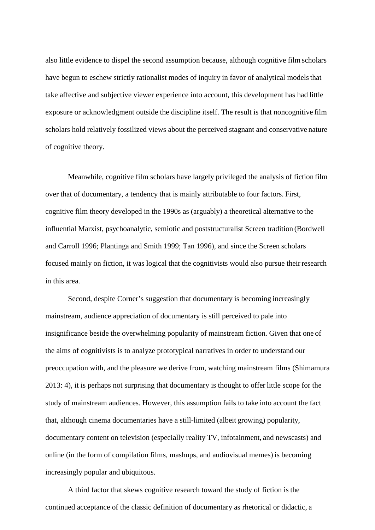also little evidence to dispel the second assumption because, although cognitive film scholars have begun to eschew strictly rationalist modes of inquiry in favor of analytical models that take affective and subjective viewer experience into account, this development has had little exposure or acknowledgment outside the discipline itself. The result is that noncognitive film scholars hold relatively fossilized views about the perceived stagnant and conservative nature of cognitive theory.

Meanwhile, cognitive film scholars have largely privileged the analysis of fiction film over that of documentary, a tendency that is mainly attributable to four factors. First, cognitive film theory developed in the 1990s as (arguably) a theoretical alternative to the influential Marxist, psychoanalytic, semiotic and poststructuralist Screen tradition (Bordwell and Carroll 1996; Plantinga and Smith 1999; Tan 1996), and since the Screen scholars focused mainly on fiction, it was logical that the cognitivists would also pursue theirresearch in this area.

Second, despite Corner's suggestion that documentary is becoming increasingly mainstream, audience appreciation of documentary is still perceived to pale into insignificance beside the overwhelming popularity of mainstream fiction. Given that one of the aims of cognitivists is to analyze prototypical narratives in order to understand our preoccupation with, and the pleasure we derive from, watching mainstream films (Shimamura 2013: 4), it is perhaps not surprising that documentary is thought to offer little scope for the study of mainstream audiences. However, this assumption fails to take into account the fact that, although cinema documentaries have a still-limited (albeit growing) popularity, documentary content on television (especially reality TV, infotainment, and newscasts) and online (in the form of compilation films, mashups, and audiovisual memes) is becoming increasingly popular and ubiquitous.

<span id="page-4-1"></span><span id="page-4-0"></span>A third factor that skews cognitive research toward the study of fiction is the continued acceptance of the classic definition of documentary as rhetorical or didactic, a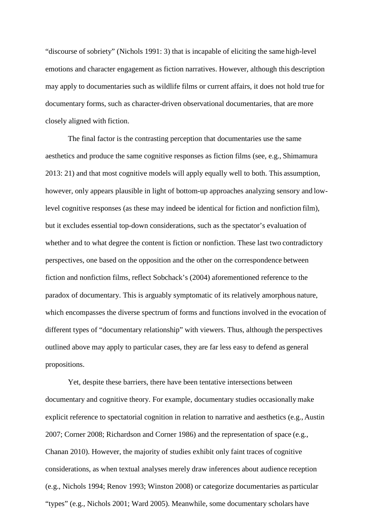"discourse of sobriety" (Nichols 1991: 3) that is incapable of eliciting the same high-level emotions and character engagement as fiction narratives. However, although this description may apply to documentaries such as wildlife films or current affairs, it does not hold true for documentary forms, such as character-driven observational documentaries, that are more closely aligned with fiction.

<span id="page-5-0"></span>The final factor is the contrasting perception that documentaries use the same aesthetics and produce the same cognitive responses as fiction films (see, e.g., Shimamura 2013: 21) and that most cognitive models will apply equally well to both. This assumption, however, only appears plausible in light of bottom-up approaches analyzing sensory and lowlevel cognitive responses (as these may indeed be identical for fiction and nonfiction film), but it excludes essential top-down considerations, such as the spectator's evaluation of whether and to what degree the content is fiction or nonfiction. These last two contradictory perspectives, one based on the opposition and the other on the correspondence between fiction and nonfiction films, reflect Sobchack's (2004) aforementioned reference to the paradox of documentary. This is arguably symptomatic of its relatively amorphous nature, which encompasses the diverse spectrum of forms and functions involved in the evocation of different types of "documentary relationship" with viewers. Thus, although the perspectives outlined above may apply to particular cases, they are far less easy to defend as general propositions.

Yet, despite these barriers, there have been tentative intersections between documentary and cognitive theory. For example, documentary studies occasionally make explicit reference to spectatorial cognition in relation to narrative and aesthetics (e.g., Austin 2007; Corner 2008; Richardson and Corner 1986) and the representation of space (e.g., Chanan 2010). However, the majority of studies exhibit only faint traces of cognitive considerations, as when textual analyses merely draw inferences about audience reception (e.g., Nichols 1994; Renov 1993; Winston 2008) or categorize documentaries as particular "types" (e.g., Nichols 2001; Ward 2005). Meanwhile, some documentary scholars have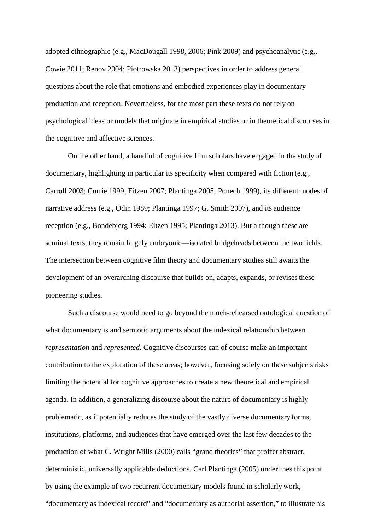adopted ethnographic (e.g., MacDougall 1998, 2006; Pink 2009) and psychoanalytic (e.g., Cowie 2011; Renov 2004; Piotrowska 2013) perspectives in order to address general questions about the role that emotions and embodied experiences play in documentary production and reception. Nevertheless, for the most part these texts do not rely on psychological ideas or models that originate in empirical studies or in theoretical discourses in the cognitive and affective sciences.

<span id="page-6-1"></span><span id="page-6-0"></span>On the other hand, a handful of cognitive film scholars have engaged in the study of documentary, highlighting in particular its specificity when compared with fiction (e.g., Carroll 2003; Currie 1999; Eitzen 2007; Plantinga 2005; Ponech 1999), its different modes of narrative address (e.g., Odin 1989; Plantinga 1997; G. Smith 2007), and its audience reception (e.g., Bondebjerg 1994; Eitzen 1995; Plantinga 2013). But although these are seminal texts, they remain largely embryonic—isolated bridgeheads between the two fields. The intersection between cognitive film theory and documentary studies still awaits the development of an overarching discourse that builds on, adapts, expands, or revises these pioneering studies.

<span id="page-6-2"></span>Such a discourse would need to go beyond the much-rehearsed ontological question of what documentary is and semiotic arguments about the indexical relationship between *representation* and *represented*. Cognitive discourses can of course make an important contribution to the exploration of these areas; however, focusing solely on these subjects risks limiting the potential for cognitive approaches to create a new theoretical and empirical agenda. In addition, a generalizing discourse about the nature of documentary is highly problematic, as it potentially reduces the study of the vastly diverse documentary forms, institutions, platforms, and audiences that have emerged over the last few decades to the production of what C. Wright Mills (2000) calls "grand theories" that proffer abstract, deterministic, universally applicable deductions. Carl Plantinga (2005) underlines this point by using the example of two recurrent documentary models found in scholarly work, "documentary as indexical record" and "documentary as authorial assertion," to illustrate his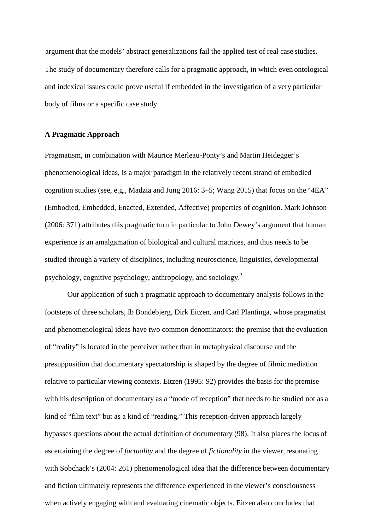argument that the models' abstract generalizations fail the applied test of real case studies. The study of documentary therefore calls for a pragmatic approach, in which even ontological and indexical issues could prove useful if embedded in the investigation of a very particular body of films or a specific case study.

#### **A Pragmatic Approach**

Pragmatism, in combination with Maurice Merleau-Ponty's and Martin Heidegger's phenomenological ideas, is a major paradigm in the relatively recent strand of embodied cognition studies (see, e.g., Madzia and Jung 2016: 3–5; Wang 2015) that focus on the "4EA" (Embodied, Embedded, Enacted, Extended, Affective) properties of cognition. Mark Johnson (2006: 371) attributes this pragmatic turn in particular to John Dewey's argument that human experience is an amalgamation of biological and cultural matrices, and thus needs to be studied through a variety of disciplines, including neuroscience, linguistics, developmental psychology, cognitive psychology, anthropology, and sociology.[3](#page-4-0)

Our application of such a pragmatic approach to documentary analysis follows in the footsteps of three scholars, Ib Bondebjerg, Dirk Eitzen, and Carl Plantinga, whose pragmatist and phenomenological ideas have two common denominators: the premise that the evaluation of "reality" is located in the perceiver rather than in metaphysical discourse and the presupposition that documentary spectatorship is shaped by the degree of filmic mediation relative to particular viewing contexts. Eitzen (1995: 92) provides the basis for the premise with his description of documentary as a "mode of reception" that needs to be studied not as a kind of "film text" but as a kind of "reading." This reception-driven approach largely bypasses questions about the actual definition of documentary (98). It also places the locus of ascertaining the degree of *factuality* and the degree of *fictionality* in the viewer, resonating with Sobchack's (2004: 261) phenomenological idea that the difference between documentary and fiction ultimately represents the difference experienced in the viewer's consciousness when actively engaging with and evaluating cinematic objects. Eitzen also concludes that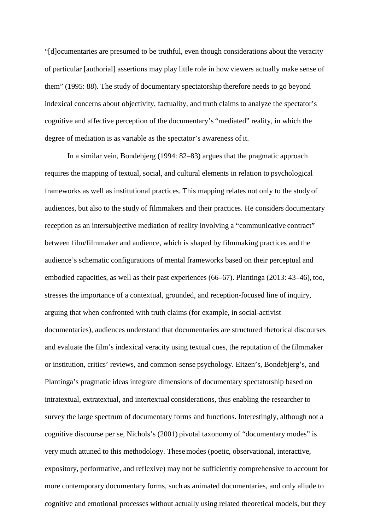"[d]ocumentaries are presumed to be truthful, even though considerations about the veracity of particular [authorial] assertions may play little role in how viewers actually make sense of them" (1995: 88). The study of documentary spectatorship therefore needs to go beyond indexical concerns about objectivity, factuality, and truth claims to analyze the spectator's cognitive and affective perception of the documentary's "mediated" reality, in which the degree of mediation is as variable as the spectator's awareness of it.

In a similar vein, Bondebjerg (1994: 82–83) argues that the pragmatic approach requires the mapping of textual, social, and cultural elements in relation to psychological frameworks as well as institutional practices. This mapping relates not only to the study of audiences, but also to the study of filmmakers and their practices. He considers documentary reception as an intersubjective mediation of reality involving a "communicative contract" between film/filmmaker and audience, which is shaped by filmmaking practices and the audience's schematic configurations of mental frameworks based on their perceptual and embodied capacities, as well as their past experiences (66–67). Plantinga (2013: 43–46), too, stresses the importance of a contextual, grounded, and reception-focused line of inquiry, arguing that when confronted with truth claims (for example, in social-activist documentaries), audiences understand that documentaries are structured rhetorical discourses and evaluate the film's indexical veracity using textual cues, the reputation of the filmmaker or institution, critics' reviews, and common-sense psychology. Eitzen's, Bondebjerg's, and Plantinga's pragmatic ideas integrate dimensions of documentary spectatorship based on intratextual, extratextual, and intertextual considerations, thus enabling the researcher to survey the large spectrum of documentary forms and functions. Interestingly, although not a cognitive discourse per se, Nichols's (2001) pivotal taxonomy of "documentary modes" is very much attuned to this methodology. These modes (poetic, observational, interactive, expository, performative, and reflexive) may not be sufficiently comprehensive to account for more contemporary documentary forms, such as animated documentaries, and only allude to cognitive and emotional processes without actually using related theoretical models, but they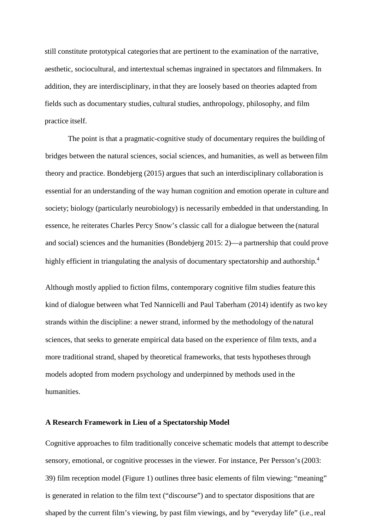still constitute prototypical categoriesthat are pertinent to the examination of the narrative, aesthetic, sociocultural, and intertextual schemas ingrained in spectators and filmmakers. In addition, they are interdisciplinary, in that they are loosely based on theories adapted from fields such as documentary studies, cultural studies, anthropology, philosophy, and film practice itself.

The point is that a pragmatic-cognitive study of documentary requires the building of bridges between the natural sciences, social sciences, and humanities, as well as between film theory and practice. Bondebjerg (2015) argues that such an interdisciplinary collaboration is essential for an understanding of the way human cognition and emotion operate in culture and society; biology (particularly neurobiology) is necessarily embedded in that understanding. In essence, he reiterates Charles Percy Snow's classic call for a dialogue between the (natural and social) sciences and the humanities (Bondebjerg 2015: 2)—a partnership that could prove highly efficient in triangulating the analysis of documentary spectatorship and authorship.<sup>[4](#page-4-1)</sup>

Although mostly applied to fiction films, contemporary cognitive film studies feature this kind of dialogue between what Ted Nannicelli and Paul Taberham (2014) identify as two key strands within the discipline: a newer strand, informed by the methodology of the natural sciences, that seeks to generate empirical data based on the experience of film texts, and a more traditional strand, shaped by theoretical frameworks, that tests hypotheses through models adopted from modern psychology and underpinned by methods used in the humanities.

#### **A Research Framework in Lieu of a Spectatorship Model**

Cognitive approaches to film traditionally conceive schematic models that attempt to describe sensory, emotional, or cognitive processes in the viewer. For instance, Per Persson's(2003: 39) film reception model (Figure 1) outlines three basic elements of film viewing: "meaning" is generated in relation to the film text ("discourse") and to spectator dispositions that are shaped by the current film's viewing, by past film viewings, and by "everyday life" (i.e.,real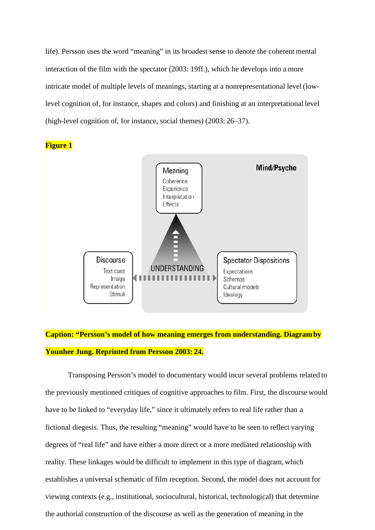life). Persson uses the word "meaning" in its broadest sense to denote the coherent mental interaction of the film with the spectator (2003: 19ff.), which he develops into a more intricate model of multiple levels of meanings, starting at a nonrepresentational level (lowlevel cognition of, for instance, shapes and colors) and finishing at an interpretational level (high-level cognition of, for instance, social themes) (2003: 26–37).





# **Caption: "Persson's model of how meaning emerges from understanding. Diagramby Younhee Jung. Reprinted from Persson 2003: 24.**

Transposing Persson's model to documentary would incur several problems related to the previously mentioned critiques of cognitive approaches to film. First, the discourse would have to be linked to "everyday life," since it ultimately refers to real life rather than a fictional diegesis. Thus, the resulting "meaning" would have to be seen to reflect varying degrees of "real life" and have either a more direct or a more mediated relationship with reality. These linkages would be difficult to implement in this type of diagram, which establishes a universal schematic of film reception. Second, the model does not account for viewing contexts (e.g., institutional, sociocultural, historical, technological) that determine the authorial construction of the discourse as well as the generation of meaning in the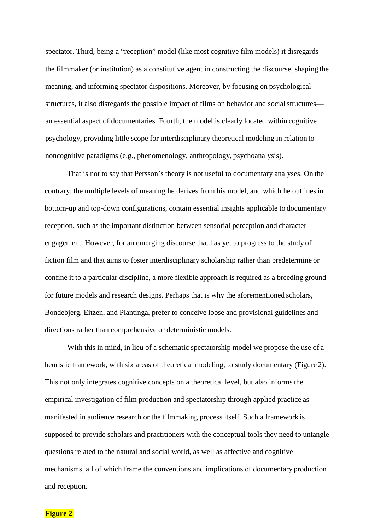spectator. Third, being a "reception" model (like most cognitive film models) it disregards the filmmaker (or institution) as a constitutive agent in constructing the discourse, shaping the meaning, and informing spectator dispositions. Moreover, by focusing on psychological structures, it also disregards the possible impact of films on behavior and social structures an essential aspect of documentaries. Fourth, the model is clearly located within cognitive psychology, providing little scope for interdisciplinary theoretical modeling in relation to noncognitive paradigms (e.g., phenomenology, anthropology, psychoanalysis).

That is not to say that Persson's theory is not useful to documentary analyses. On the contrary, the multiple levels of meaning he derives from his model, and which he outlinesin bottom-up and top-down configurations, contain essential insights applicable to documentary reception, such as the important distinction between sensorial perception and character engagement. However, for an emerging discourse that has yet to progress to the study of fiction film and that aims to foster interdisciplinary scholarship rather than predetermine or confine it to a particular discipline, a more flexible approach is required as a breeding ground for future models and research designs. Perhaps that is why the aforementioned scholars, Bondebjerg, Eitzen, and Plantinga, prefer to conceive loose and provisional guidelines and directions rather than comprehensive or deterministic models.

With this in mind, in lieu of a schematic spectatorship model we propose the use of a heuristic framework, with six areas of theoretical modeling, to study documentary (Figure 2). This not only integrates cognitive concepts on a theoretical level, but also informs the empirical investigation of film production and spectatorship through applied practice as manifested in audience research or the filmmaking process itself. Such a framework is supposed to provide scholars and practitioners with the conceptual tools they need to untangle questions related to the natural and social world, as well as affective and cognitive mechanisms, all of which frame the conventions and implications of documentary production and reception.

#### **Figure 2**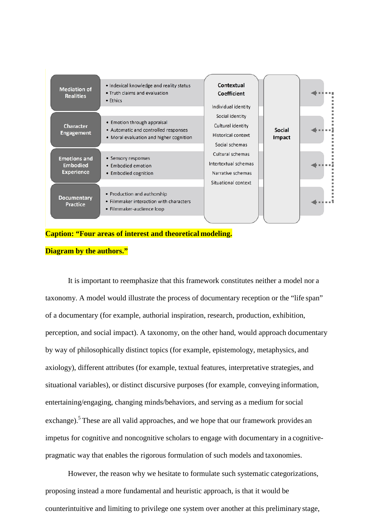| <b>Mediation of</b><br><b>Realities</b>                     | • Indexical knowledge and reality status<br>• Truth claims and evaluation<br>• Ethics                          | Contextual<br><b>Coefficient</b><br>Individual identity                                     |                         |  |
|-------------------------------------------------------------|----------------------------------------------------------------------------------------------------------------|---------------------------------------------------------------------------------------------|-------------------------|--|
| <b>Character</b><br><b>Engagement</b>                       | • Emotion through appraisal<br>• Automatic and controlled responses<br>• Moral evaluation and higher cognition | Social identity<br>Cultural identity<br><b>Historical context</b><br>Social schemas         | <b>Social</b><br>Impact |  |
| <b>Emotions and</b><br><b>Embodied</b><br><b>Experience</b> | • Sensory responses<br>• Embodied emotion<br>• Embodied cognition                                              | <b>Cultural schemas</b><br>Intertextual schemas<br>Narrative schemas<br>Situational context |                         |  |
| <b>Documentary</b><br><b>Practice</b>                       | • Production and authorship<br>• Filmmaker interaction with characters<br>• Filmmaker-audience loop            |                                                                                             |                         |  |

## **Caption: "Four areas of interest and theoretical modeling.**

#### **Diagram by the authors."**

It is important to reemphasize that this framework constitutes neither a model nor a taxonomy. A model would illustrate the process of documentary reception or the "life span" of a documentary (for example, authorial inspiration, research, production, exhibition, perception, and social impact). A taxonomy, on the other hand, would approach documentary by way of philosophically distinct topics (for example, epistemology, metaphysics, and axiology), different attributes (for example, textual features, interpretative strategies, and situational variables), or distinct discursive purposes (for example, conveying information, entertaining/engaging, changing minds/behaviors, and serving as a medium for social exchange).<sup>5</sup> These are all valid approaches, and we hope that our framework provides an impetus for cognitive and noncognitive scholars to engage with documentary in a cognitivepragmatic way that enables the rigorous formulation of such models and taxonomies.

However, the reason why we hesitate to formulate such systematic categorizations, proposing instead a more fundamental and heuristic approach, is that it would be counterintuitive and limiting to privilege one system over another at this preliminary stage,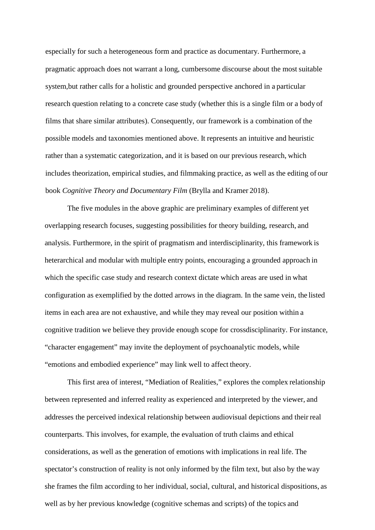especially for such a heterogeneous form and practice as documentary. Furthermore, a pragmatic approach does not warrant a long, cumbersome discourse about the most suitable system,but rather calls for a holistic and grounded perspective anchored in a particular research question relating to a concrete case study (whether this is a single film or a body of films that share similar attributes). Consequently, our framework is a combination of the possible models and taxonomies mentioned above. It represents an intuitive and heuristic rather than a systematic categorization, and it is based on our previous research, which includes theorization, empirical studies, and filmmaking practice, as well as the editing of our book *Cognitive Theory and Documentary Film* (Brylla and Kramer 2018).

The five modules in the above graphic are preliminary examples of different yet overlapping research focuses, suggesting possibilities for theory building, research, and analysis. Furthermore, in the spirit of pragmatism and interdisciplinarity, this framework is heterarchical and modular with multiple entry points, encouraging a grounded approach in which the specific case study and research context dictate which areas are used in what configuration as exemplified by the dotted arrows in the diagram. In the same vein, the listed items in each area are not exhaustive, and while they may reveal our position within a cognitive tradition we believe they provide enough scope for crossdisciplinarity. Forinstance, "character engagement" may invite the deployment of psychoanalytic models, while "emotions and embodied experience" may link well to affect theory.

This first area of interest, "Mediation of Realities," explores the complex relationship between represented and inferred reality as experienced and interpreted by the viewer, and addresses the perceived indexical relationship between audiovisual depictions and their real counterparts. This involves, for example, the evaluation of truth claims and ethical considerations, as well as the generation of emotions with implications in real life. The spectator's construction of reality is not only informed by the film text, but also by the way she frames the film according to her individual, social, cultural, and historical dispositions, as well as by her previous knowledge (cognitive schemas and scripts) of the topics and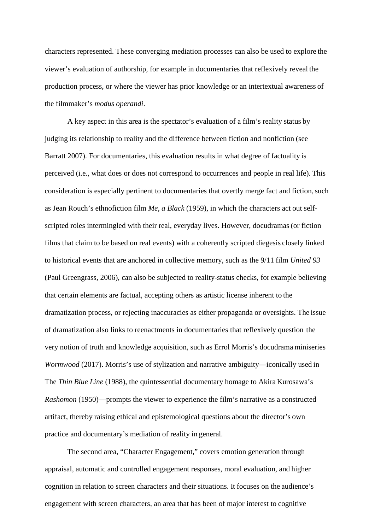characters represented. These converging mediation processes can also be used to explore the viewer's evaluation of authorship, for example in documentaries that reflexively reveal the production process, or where the viewer has prior knowledge or an intertextual awareness of the filmmaker's *modus operandi*.

A key aspect in this area is the spectator's evaluation of a film's reality status by judging its relationship to reality and the difference between fiction and nonfiction (see Barratt 2007). For documentaries, this evaluation results in what degree of factuality is perceived (i.e., what does or does not correspond to occurrences and people in real life). This consideration is especially pertinent to documentaries that overtly merge fact and fiction, such as Jean Rouch's ethnofiction film *Me, a Black* (1959), in which the characters act out selfscripted roles intermingled with their real, everyday lives. However, docudramas (or fiction films that claim to be based on real events) with a coherently scripted diegesis closely linked to historical events that are anchored in collective memory, such as the 9/11 film *United 93*  (Paul Greengrass, 2006), can also be subjected to reality-status checks, for example believing that certain elements are factual, accepting others as artistic license inherent to the dramatization process, or rejecting inaccuracies as either propaganda or oversights. The issue of dramatization also links to reenactments in documentaries that reflexively question the very notion of truth and knowledge acquisition, such as Errol Morris's docudrama miniseries *Wormwood* (2017). Morris's use of stylization and narrative ambiguity—iconically used in The *Thin Blue Line* (1988), the quintessential documentary homage to Akira Kurosawa's *Rashomon* (1950)—prompts the viewer to experience the film's narrative as a constructed artifact, thereby raising ethical and epistemological questions about the director's own practice and documentary's mediation of reality in general.

The second area, "Character Engagement," covers emotion generation through appraisal, automatic and controlled engagement responses, moral evaluation, and higher cognition in relation to screen characters and their situations. It focuses on the audience's engagement with screen characters, an area that has been of major interest to cognitive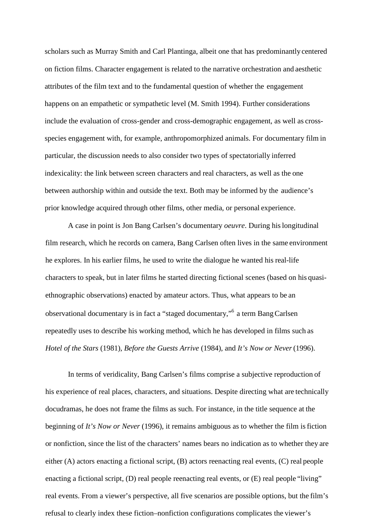scholars such as Murray Smith and Carl Plantinga, albeit one that has predominantly centered on fiction films. Character engagement is related to the narrative orchestration and aesthetic attributes of the film text and to the fundamental question of whether the engagement happens on an empathetic or sympathetic level (M. Smith 1994). Further considerations include the evaluation of cross-gender and cross-demographic engagement, as well as crossspecies engagement with, for example, anthropomorphized animals. For documentary film in particular, the discussion needs to also consider two types of spectatorially inferred indexicality: the link between screen characters and real characters, as well as the one between authorship within and outside the text. Both may be informed by the audience's prior knowledge acquired through other films, other media, or personal experience.

A case in point is Jon Bang Carlsen's documentary *oeuvre*. During hislongitudinal film research, which he records on camera, Bang Carlsen often lives in the same environment he explores. In his earlier films, he used to write the dialogue he wanted his real-life characters to speak, but in later films he started directing fictional scenes (based on his quasiethnographic observations) enacted by amateur actors. Thus, what appears to be an observational documentary is in fact a "staged documentary,["6](#page-6-0) a term BangCarlsen repeatedly uses to describe his working method, which he has developed in films such as *Hotel of the Stars* (1981), *Before the Guests Arrive* (1984), and *It's Now or Never*(1996).

In terms of veridicality, Bang Carlsen's films comprise a subjective reproduction of his experience of real places, characters, and situations. Despite directing what are technically docudramas, he does not frame the films as such. For instance, in the title sequence at the beginning of *It's Now or Never* (1996), it remains ambiguous as to whether the film isfiction or nonfiction, since the list of the characters' names bears no indication as to whether they are either (A) actors enacting a fictional script, (B) actors reenacting real events, (C) real people enacting a fictional script, (D) real people reenacting real events, or (E) real people "living" real events. From a viewer's perspective, all five scenarios are possible options, but the film's refusal to clearly index these fiction–nonfiction configurations complicates the viewer's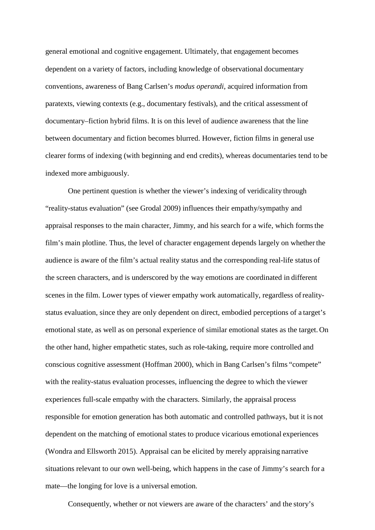general emotional and cognitive engagement. Ultimately, that engagement becomes dependent on a variety of factors, including knowledge of observational documentary conventions, awareness of Bang Carlsen's *modus operandi*, acquired information from paratexts, viewing contexts (e.g., documentary festivals), and the critical assessment of documentary–fiction hybrid films. It is on this level of audience awareness that the line between documentary and fiction becomes blurred. However, fiction films in general use clearer forms of indexing (with beginning and end credits), whereas documentaries tend to be indexed more ambiguously.

One pertinent question is whether the viewer's indexing of veridicality through "reality-status evaluation" (see Grodal 2009) influences their empathy/sympathy and appraisal responses to the main character, Jimmy, and his search for a wife, which formsthe film's main plotline. Thus, the level of character engagement depends largely on whether the audience is aware of the film's actual reality status and the corresponding real-life status of the screen characters, and is underscored by the way emotions are coordinated in different scenes in the film. Lower types of viewer empathy work automatically, regardless ofrealitystatus evaluation, since they are only dependent on direct, embodied perceptions of a target's emotional state, as well as on personal experience of similar emotional states as the target. On the other hand, higher empathetic states, such as role-taking, require more controlled and conscious cognitive assessment (Hoffman 2000), which in Bang Carlsen's films "compete" with the reality-status evaluation processes, influencing the degree to which the viewer experiences full-scale empathy with the characters. Similarly, the appraisal process responsible for emotion generation has both automatic and controlled pathways, but it is not dependent on the matching of emotional states to produce vicarious emotional experiences (Wondra and Ellsworth 2015). Appraisal can be elicited by merely appraising narrative situations relevant to our own well-being, which happens in the case of Jimmy's search for a mate—the longing for love is a universal emotion.

Consequently, whether or not viewers are aware of the characters' and the story's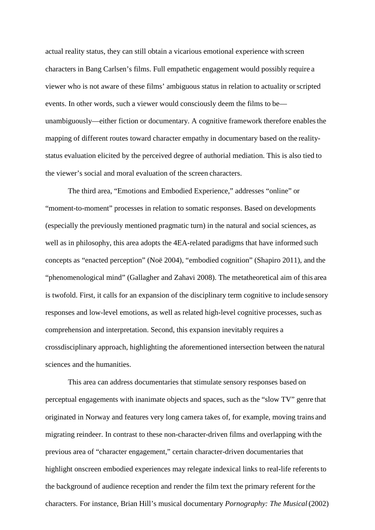actual reality status, they can still obtain a vicarious emotional experience with screen characters in Bang Carlsen's films. Full empathetic engagement would possibly require a viewer who is not aware of these films' ambiguous status in relation to actuality orscripted events. In other words, such a viewer would consciously deem the films to be unambiguously—either fiction or documentary. A cognitive framework therefore enablesthe mapping of different routes toward character empathy in documentary based on the realitystatus evaluation elicited by the perceived degree of authorial mediation. This is also tied to the viewer's social and moral evaluation of the screen characters.

The third area, "Emotions and Embodied Experience," addresses "online" or "moment-to-moment" processes in relation to somatic responses. Based on developments (especially the previously mentioned pragmatic turn) in the natural and social sciences, as well as in philosophy, this area adopts the 4EA-related paradigms that have informed such concepts as "enacted perception" (Noë 2004), "embodied cognition" (Shapiro 2011), and the "phenomenological mind" (Gallagher and Zahavi 2008). The metatheoretical aim of this area is twofold. First, it calls for an expansion of the disciplinary term cognitive to include sensory responses and low-level emotions, as well as related high-level cognitive processes, such as comprehension and interpretation. Second, this expansion inevitably requires a crossdisciplinary approach, highlighting the aforementioned intersection between the natural sciences and the humanities.

This area can address documentaries that stimulate sensory responses based on perceptual engagements with inanimate objects and spaces, such as the "slow TV" genre that originated in Norway and features very long camera takes of, for example, moving trains and migrating reindeer. In contrast to these non-character-driven films and overlapping with the previous area of "character engagement," certain character-driven documentaries that highlight onscreen embodied experiences may relegate indexical links to real-life referents to the background of audience reception and render the film text the primary referent for the characters. For instance, Brian Hill's musical documentary *Pornography: The Musical* (2002)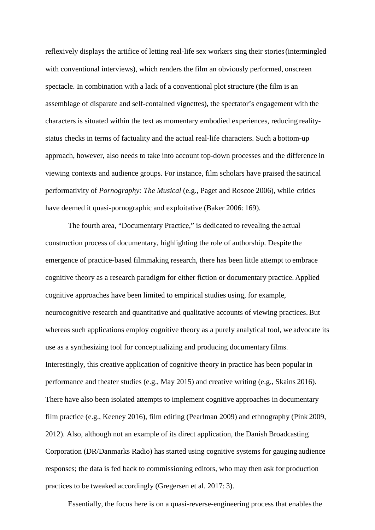reflexively displays the artifice of letting real-life sex workers sing their stories(intermingled with conventional interviews), which renders the film an obviously performed, onscreen spectacle. In combination with a lack of a conventional plot structure (the film is an assemblage of disparate and self-contained vignettes), the spectator's engagement with the characters is situated within the text as momentary embodied experiences, reducing realitystatus checks in terms of factuality and the actual real-life characters. Such a bottom-up approach, however, also needs to take into account top-down processes and the difference in viewing contexts and audience groups. For instance, film scholars have praised the satirical performativity of *Pornography: The Musical* (e.g., Paget and Roscoe 2006), while critics have deemed it quasi-pornographic and exploitative (Baker 2006: 169).

The fourth area, "Documentary Practice," is dedicated to revealing the actual construction process of documentary, highlighting the role of authorship. Despite the emergence of practice-based filmmaking research, there has been little attempt to embrace cognitive theory as a research paradigm for either fiction or documentary practice. Applied cognitive approaches have been limited to empirical studies using, for example, neurocognitive research and quantitative and qualitative accounts of viewing practices. But whereas such applications employ cognitive theory as a purely analytical tool, we advocate its use as a synthesizing tool for conceptualizing and producing documentary films. Interestingly, this creative application of cognitive theory in practice has been popular in performance and theater studies (e.g., May 2015) and creative writing (e.g., Skains 2016). There have also been isolated attempts to implement cognitive approaches in documentary film practice (e.g., Keeney 2016), film editing (Pearlman 2009) and ethnography (Pink 2009, 2012). Also, although not an example of its direct application, the Danish Broadcasting Corporation (DR/Danmarks Radio) has started using cognitive systems for gauging audience responses; the data is fed back to commissioning editors, who may then ask for production practices to be tweaked accordingly (Gregersen et al. 2017: 3).

Essentially, the focus here is on a quasi-reverse-engineering process that enablesthe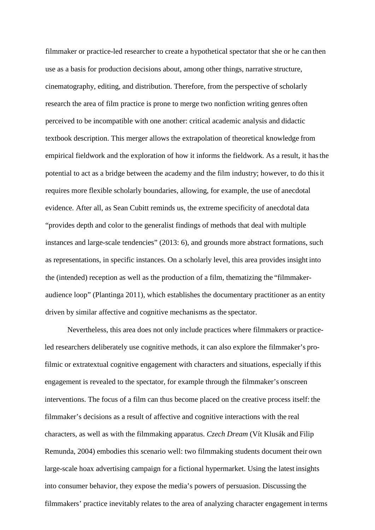filmmaker or practice-led researcher to create a hypothetical spectator that she or he can then use as a basis for production decisions about, among other things, narrative structure, cinematography, editing, and distribution. Therefore, from the perspective of scholarly research the area of film practice is prone to merge two nonfiction writing genres often perceived to be incompatible with one another: critical academic analysis and didactic textbook description. This merger allows the extrapolation of theoretical knowledge from empirical fieldwork and the exploration of how it informs the fieldwork. As a result, it hasthe potential to act as a bridge between the academy and the film industry; however, to do thisit requires more flexible scholarly boundaries, allowing, for example, the use of anecdotal evidence. After all, as Sean Cubitt reminds us, the extreme specificity of anecdotal data "provides depth and color to the generalist findings of methods that deal with multiple instances and large-scale tendencies" (2013: 6), and grounds more abstract formations, such as representations, in specific instances. On a scholarly level, this area provides insight into the (intended) reception as well as the production of a film, thematizing the "filmmakeraudience loop" (Plantinga 2011), which establishes the documentary practitioner as an entity driven by similar affective and cognitive mechanisms as the spectator.

Nevertheless, this area does not only include practices where filmmakers or practiceled researchers deliberately use cognitive methods, it can also explore the filmmaker's profilmic or extratextual cognitive engagement with characters and situations, especially if this engagement is revealed to the spectator, for example through the filmmaker's onscreen interventions. The focus of a film can thus become placed on the creative process itself: the filmmaker's decisions as a result of affective and cognitive interactions with the real characters, as well as with the filmmaking apparatus. *Czech Dream* (Vít Klusák and Filip Remunda, 2004) embodies this scenario well: two filmmaking students document their own large-scale hoax advertising campaign for a fictional hypermarket. Using the latest insights into consumer behavior, they expose the media's powers of persuasion. Discussing the filmmakers' practice inevitably relates to the area of analyzing character engagement in terms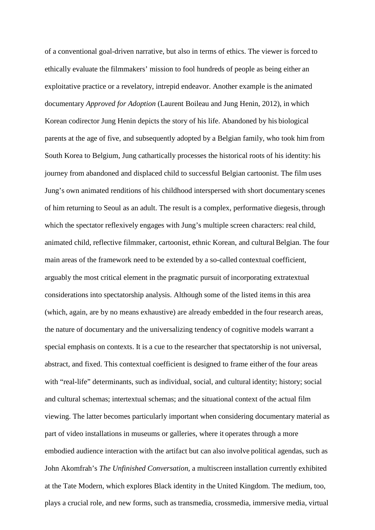of a conventional goal-driven narrative, but also in terms of ethics. The viewer is forced to ethically evaluate the filmmakers' mission to fool hundreds of people as being either an exploitative practice or a revelatory, intrepid endeavor. Another example is the animated documentary *Approved for Adoption* (Laurent Boileau and Jung Henin, 2012), in which Korean codirector Jung Henin depicts the story of his life. Abandoned by his biological parents at the age of five, and subsequently adopted by a Belgian family, who took him from South Korea to Belgium, Jung cathartically processes the historical roots of his identity: his journey from abandoned and displaced child to successful Belgian cartoonist. The film uses Jung's own animated renditions of his childhood interspersed with short documentary scenes of him returning to Seoul as an adult. The result is a complex, performative diegesis, through which the spectator reflexively engages with Jung's multiple screen characters: real child, animated child, reflective filmmaker, cartoonist, ethnic Korean, and culturalBelgian. The four main areas of the framework need to be extended by a so-called contextual coefficient, arguably the most critical element in the pragmatic pursuit of incorporating extratextual considerations into spectatorship analysis. Although some of the listed itemsin this area (which, again, are by no means exhaustive) are already embedded in the four research areas, the nature of documentary and the universalizing tendency of cognitive models warrant a special emphasis on contexts. It is a cue to the researcher that spectatorship is not universal, abstract, and fixed. This contextual coefficient is designed to frame either of the four areas with "real-life" determinants, such as individual, social, and cultural identity; history; social and cultural schemas; intertextual schemas; and the situational context of the actual film viewing. The latter becomes particularly important when considering documentary material as part of video installations in museums or galleries, where it operates through a more embodied audience interaction with the artifact but can also involve political agendas, such as John Akomfrah's *The Unfinished Conversation*, a multiscreen installation currently exhibited at the Tate Modern, which explores Black identity in the United Kingdom. The medium, too, plays a crucial role, and new forms, such as transmedia, crossmedia, immersive media, virtual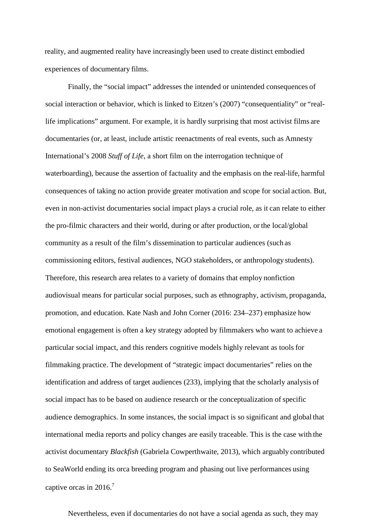reality, and augmented reality have increasingly been used to create distinct embodied experiences of documentary films.

Finally, the "social impact" addresses the intended or unintended consequences of social interaction or behavior, which is linked to Eitzen's (2007) "consequentiality" or "reallife implications" argument. For example, it is hardly surprising that most activist films are documentaries (or, at least, include artistic reenactments of real events, such as Amnesty International's 2008 *Stuff of Life*, a short film on the interrogation technique of waterboarding), because the assertion of factuality and the emphasis on the real-life, harmful consequences of taking no action provide greater motivation and scope for social action. But, even in non-activist documentaries social impact plays a crucial role, as it can relate to either the pro-filmic characters and their world, during or after production, or the local/global community as a result of the film's dissemination to particular audiences (such as commissioning editors, festival audiences, NGO stakeholders, or anthropology students). Therefore, this research area relates to a variety of domains that employ nonfiction audiovisual means for particular social purposes, such as ethnography, activism, propaganda, promotion, and education. Kate Nash and John Corner (2016: 234–237) emphasize how emotional engagement is often a key strategy adopted by filmmakers who want to achieve a particular social impact, and this renders cognitive models highly relevant as tools for filmmaking practice. The development of "strategic impact documentaries" relies on the identification and address of target audiences (233), implying that the scholarly analysis of social impact has to be based on audience research or the conceptualization of specific audience demographics. In some instances, the social impact is so significant and global that international media reports and policy changes are easily traceable. This is the case with the activist documentary *Blackfish* (Gabriela Cowperthwaite, 2013), which arguably contributed to SeaWorld ending its orca breeding program and phasing out live performances using captive orcas in  $2016$ <sup>[7](#page-6-1)</sup>

Nevertheless, even if documentaries do not have a social agenda as such, they may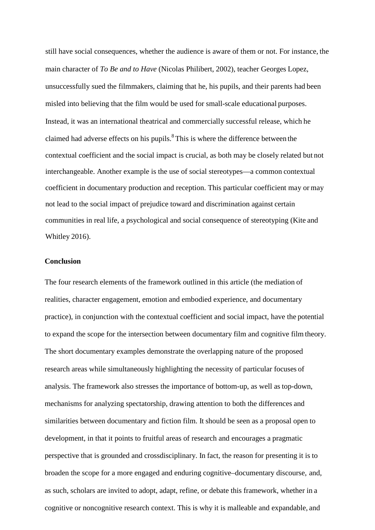still have social consequences, whether the audience is aware of them or not. For instance, the main character of *To Be and to Have* (Nicolas Philibert, 2002), teacher Georges Lopez, unsuccessfully sued the filmmakers, claiming that he, his pupils, and their parents had been misled into believing that the film would be used for small-scale educational purposes. Instead, it was an international theatrical and commercially successful release, which he claimed had adverse effects on his pupils[.8](#page-6-2) This is where the difference between the contextual coefficient and the social impact is crucial, as both may be closely related but not interchangeable. Another example is the use of social stereotypes—a common contextual coefficient in documentary production and reception. This particular coefficient may or may not lead to the social impact of prejudice toward and discrimination against certain communities in real life, a psychological and social consequence of stereotyping (Kite and Whitley 2016).

## **Conclusion**

The four research elements of the framework outlined in this article (the mediation of realities, character engagement, emotion and embodied experience, and documentary practice), in conjunction with the contextual coefficient and social impact, have the potential to expand the scope for the intersection between documentary film and cognitive film theory. The short documentary examples demonstrate the overlapping nature of the proposed research areas while simultaneously highlighting the necessity of particular focuses of analysis. The framework also stresses the importance of bottom-up, as well as top-down, mechanisms for analyzing spectatorship, drawing attention to both the differences and similarities between documentary and fiction film. It should be seen as a proposal open to development, in that it points to fruitful areas of research and encourages a pragmatic perspective that is grounded and crossdisciplinary. In fact, the reason for presenting it is to broaden the scope for a more engaged and enduring cognitive–documentary discourse, and, as such, scholars are invited to adopt, adapt, refine, or debate this framework, whether in a cognitive or noncognitive research context. This is why it is malleable and expandable, and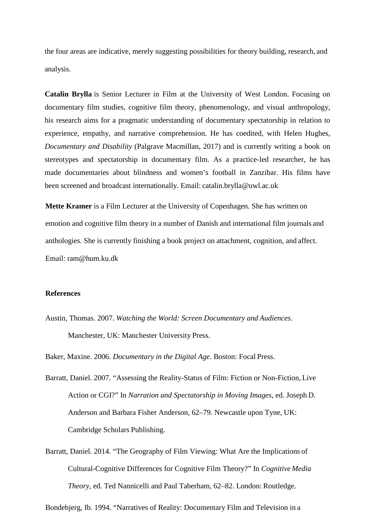the four areas are indicative, merely suggesting possibilities for theory building, research, and analysis.

**Catalin Brylla** is Senior Lecturer in Film at the University of West London. Focusing on documentary film studies, cognitive film theory, phenomenology, and visual anthropology, his research aims for a pragmatic understanding of documentary spectatorship in relation to experience, empathy, and narrative comprehension. He has coedited, with Helen Hughes, *Documentary and Disability* (Palgrave Macmillan, 2017) and is currently writing a book on stereotypes and spectatorship in documentary film. As a practice-led researcher, he has made documentaries about blindness and women's football in Zanzibar. His films have been screened and broadcast internationally. Email: [catalin.brylla@uwl.ac.uk](mailto:catalin.brylla@uwl.ac.uk)

**Mette Kramer** is a Film Lecturer at the University of Copenhagen. She has written on emotion and cognitive film theory in a number of Danish and international film journals and anthologies. She is currently finishing a book project on attachment, cognition, and affect. Email: [ram@hum.ku.dk](mailto:kram@hum.ku.dk)

#### **References**

Austin, Thomas. 2007. *Watching the World: Screen Documentary and Audiences*. Manchester, UK: Manchester University Press.

Baker, Maxine. 2006. *Documentary in the Digital Age*. Boston: Focal Press.

- Barratt, Daniel. 2007. "Assessing the Reality-Status of Film: Fiction or Non-Fiction, Live Action or CGI?" In *Narration and Spectatorship in Moving Images*, ed. Joseph D. Anderson and Barbara Fisher Anderson, 62–79. Newcastle upon Tyne, UK: Cambridge Scholars Publishing.
- Barratt, Daniel. 2014. "The Geography of Film Viewing: What Are the Implications of Cultural-Cognitive Differences for Cognitive Film Theory?" In *Cognitive Media Theory*, ed. Ted Nannicelli and Paul Taberham, 62–82. London: Routledge.

Bondebjerg, Ib. 1994. "Narratives of Reality: Documentary Film and Television in a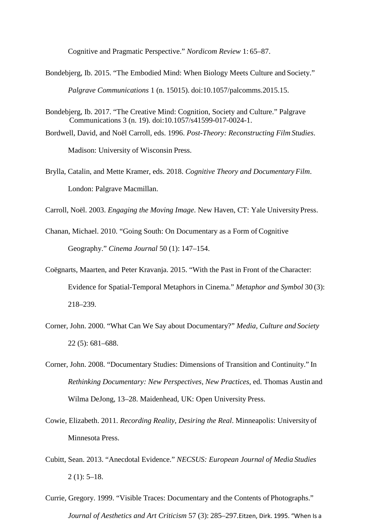Cognitive and Pragmatic Perspective." *Nordicom Review* 1: 65–87.

Bondebjerg, Ib. 2015. "The Embodied Mind: When Biology Meets Culture and Society."

*Palgrave Communications* 1 (n. 15015). doi:10.1057/palcomms.2015.15.

- Bondebjerg, Ib. 2017. "The Creative Mind: Cognition, Society and Culture." Palgrave Communications 3 (n. 19). doi:10.1057/s41599-017-0024-1.
- Bordwell, David, and Noël Carroll, eds. 1996. *Post-Theory: Reconstructing Film Studies*. Madison: University of Wisconsin Press.

Brylla, Catalin, and Mette Kramer, eds. 2018. *Cognitive Theory and Documentary Film*. London: Palgrave Macmillan.

Carroll, Noël. 2003. *Engaging the Moving Image*. New Haven, CT: Yale University Press.

Chanan, Michael. 2010. "Going South: On Documentary as a Form of Cognitive Geography." *Cinema Journal* 50 (1): 147–154.

- Coëgnarts, Maarten, and Peter Kravanja. 2015. "With the Past in Front of the Character: Evidence for Spatial-Temporal Metaphors in Cinema." *Metaphor and Symbol* 30 (3): 218–239.
- Corner, John. 2000. "What Can We Say about Documentary?" *Media, Culture and Society* 22 (5): 681–688.
- Corner, John. 2008. "Documentary Studies: Dimensions of Transition and Continuity." In *Rethinking Documentary: New Perspectives, New Practices*, ed. Thomas Austin and Wilma DeJong, 13–28. Maidenhead, UK: Open University Press.
- Cowie, Elizabeth. 2011. *Recording Reality, Desiring the Real*. Minneapolis: University of Minnesota Press.
- Cubitt, Sean. 2013. "Anecdotal Evidence." *NECSUS: European Journal of Media Studies*  $2(1): 5-18.$
- Currie, Gregory. 1999. "Visible Traces: Documentary and the Contents of Photographs." *Journal of Aesthetics and Art Criticism* 57 (3): 285–297.Eitzen, Dirk. 1995. "When Is a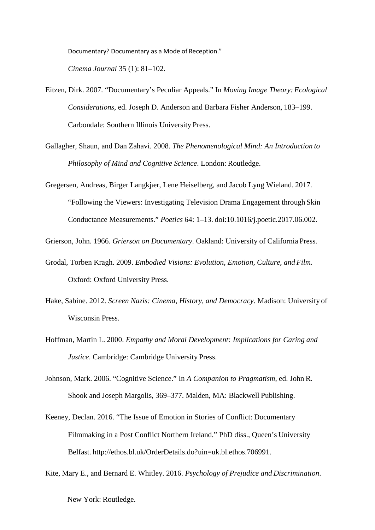Documentary? Documentary as a Mode of Reception."

*Cinema Journal* 35 (1): 81–102.

- Eitzen, Dirk. 2007. "Documentary's Peculiar Appeals." In *Moving Image Theory: Ecological Considerations*, ed. Joseph D. Anderson and Barbara Fisher Anderson, 183–199. Carbondale: Southern Illinois University Press.
- Gallagher, Shaun, and Dan Zahavi. 2008. *The Phenomenological Mind: An Introduction to Philosophy of Mind and Cognitive Science*. London: Routledge.
- Gregersen, Andreas, Birger Langkjær, Lene Heiselberg, and Jacob Lyng Wieland. 2017. "Following the Viewers: Investigating Television Drama Engagement through Skin Conductance Measurements." *Poetics* 64: 1–13. doi:10.1016/j.poetic.2017.06.002.

Grierson, John. 1966. *Grierson on Documentary*. Oakland: University of California Press.

- Grodal, Torben Kragh. 2009. *Embodied Visions: Evolution, Emotion, Culture, and Film*. Oxford: Oxford University Press.
- Hake, Sabine. 2012. *Screen Nazis: Cinema, History, and Democracy*. Madison: University of Wisconsin Press.
- Hoffman, Martin L. 2000. *Empathy and Moral Development: Implications for Caring and Justice*. Cambridge: Cambridge University Press.
- Johnson, Mark. 2006. "Cognitive Science." In *A Companion to Pragmatism*, ed. John R. Shook and Joseph Margolis, 369–377. Malden, MA: Blackwell Publishing.
- Keeney, Declan. 2016. "The Issue of Emotion in Stories of Conflict: Documentary Filmmaking in a Post Conflict Northern Ireland." PhD diss., Queen's University Belfast. [http://ethos.bl.uk/OrderDetails.do?uin=uk.bl.ethos.706991.](http://ethos.bl.uk/OrderDetails.do?uin=uk.bl.ethos.706991)

Kite, Mary E., and Bernard E. Whitley. 2016. *Psychology of Prejudice and Discrimination*.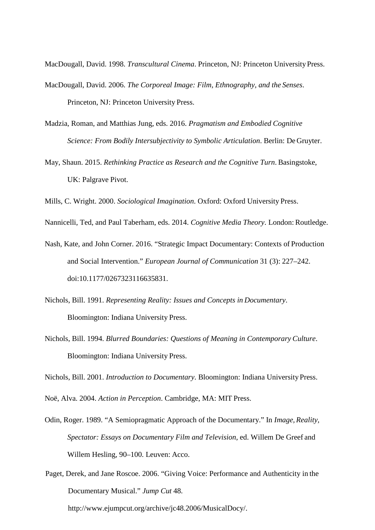MacDougall, David. 1998. *Transcultural Cinema*. Princeton, NJ: Princeton UniversityPress.

- MacDougall, David. 2006. *The Corporeal Image: Film, Ethnography, and the Senses*. Princeton, NJ: Princeton University Press.
- Madzia, Roman, and Matthias Jung, eds. 2016. *Pragmatism and Embodied Cognitive Science: From Bodily Intersubjectivity to Symbolic Articulation*. Berlin: De Gruyter.
- May, Shaun. 2015. *Rethinking Practice as Research and the Cognitive Turn*. Basingstoke, UK: Palgrave Pivot.

Mills, C. Wright. 2000. *Sociological Imagination*. Oxford: Oxford University Press.

Nannicelli, Ted, and Paul Taberham, eds. 2014. *Cognitive Media Theory*. London: Routledge.

- Nash, Kate, and John Corner. 2016. "Strategic Impact Documentary: Contexts of Production and Social Intervention." *European Journal of Communication* 31 (3): 227–242. doi:10.1177/0267323116635831.
- Nichols, Bill. 1991. *Representing Reality: Issues and Concepts in Documentary*. Bloomington: Indiana University Press.
- Nichols, Bill. 1994. *Blurred Boundaries: Questions of Meaning in Contemporary Culture*. Bloomington: Indiana University Press.

Nichols, Bill. 2001. *Introduction to Documentary*. Bloomington: Indiana University Press.

Noë, Alva. 2004. *Action in Perception*. Cambridge, MA: MIT Press.

- Odin, Roger. 1989. "A Semiopragmatic Approach of the Documentary." In *Image, Reality, Spectator: Essays on Documentary Film and Television*, ed. Willem De Greef and Willem Hesling, 90–100. Leuven: Acco.
- Paget, Derek, and Jane Roscoe. 2006. "Giving Voice: Performance and Authenticity in the Documentary Musical." *Jump Cut* 48[.](http://www.ejumpcut.org/archive/jc48.2006/MusicalDocy/)

[http://www.ejumpcut.org/archive/jc48.2006/MusicalDocy/.](http://www.ejumpcut.org/archive/jc48.2006/MusicalDocy/)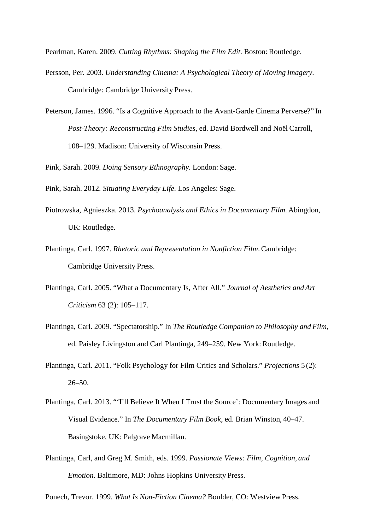Pearlman, Karen. 2009. *Cutting Rhythms: Shaping the Film Edit*. Boston: Routledge.

- Persson, Per. 2003. *Understanding Cinema: A Psychological Theory of Moving Imagery*. Cambridge: Cambridge University Press.
- Peterson, James. 1996. "Is a Cognitive Approach to the Avant-Garde Cinema Perverse?" In *Post-Theory: Reconstructing Film Studies*, ed. David Bordwell and Noël Carroll, 108–129. Madison: University of Wisconsin Press.

Pink, Sarah. 2009. *Doing Sensory Ethnography*. London: Sage.

Pink, Sarah. 2012. *Situating Everyday Life*. Los Angeles: Sage.

- Piotrowska, Agnieszka. 2013. *Psychoanalysis and Ethics in Documentary Film*. Abingdon, UK: Routledge.
- Plantinga, Carl. 1997. *Rhetoric and Representation in Nonfiction Film*.Cambridge: Cambridge University Press.
- Plantinga, Carl. 2005. "What a Documentary Is, After All." *Journal of Aesthetics and Art Criticism* 63 (2): 105–117.
- Plantinga, Carl. 2009. "Spectatorship." In *The Routledge Companion to Philosophy and Film*, ed. Paisley Livingston and Carl Plantinga, 249–259. New York: Routledge.
- Plantinga, Carl. 2011. "Folk Psychology for Film Critics and Scholars." *Projections* 5 (2):  $26 - 50$ .
- Plantinga, Carl. 2013. "'I'll Believe It When I Trust the Source': Documentary Images and Visual Evidence." In *The Documentary Film Book*, ed. Brian Winston, 40–47. Basingstoke, UK: Palgrave Macmillan.
- Plantinga, Carl, and Greg M. Smith, eds. 1999. *Passionate Views: Film, Cognition, and Emotion*. Baltimore, MD: Johns Hopkins University Press.

Ponech, Trevor. 1999. *What Is Non-Fiction Cinema?* Boulder, CO: Westview Press.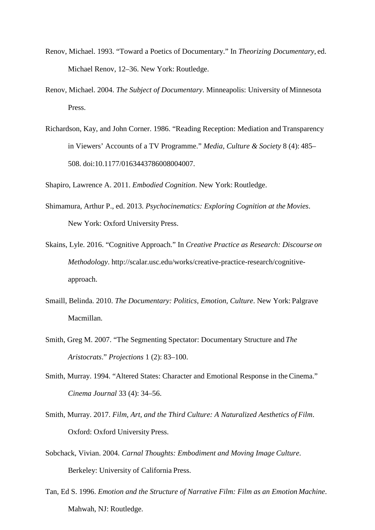- Renov, Michael. 1993. "Toward a Poetics of Documentary." In *Theorizing Documentary*, ed. Michael Renov, 12–36. New York: Routledge.
- Renov, Michael. 2004. *The Subject of Documentary*. Minneapolis: University of Minnesota Press.
- Richardson, Kay, and John Corner. 1986. "Reading Reception: Mediation and Transparency in Viewers' Accounts of a TV Programme." *Media, Culture & Society* 8 (4): 485– 508. doi:10.1177/0163443786008004007.

Shapiro, Lawrence A. 2011. *Embodied Cognition*. New York: Routledge.

- Shimamura, Arthur P., ed. 2013. *Psychocinematics: Exploring Cognition at the Movies*. New York: Oxford University Press.
- Skains, Lyle. 2016. "Cognitive Approach." In *Creative Practice as Research: Discourse on Methodology*. [http://scalar.usc.edu/works/creative-practice-research/cognitive](http://scalar.usc.edu/works/creative-practice-research/cognitive-)approach.
- Smaill, Belinda. 2010. *The Documentary: Politics, Emotion, Culture*. New York: Palgrave Macmillan.
- Smith, Greg M. 2007. "The Segmenting Spectator: Documentary Structure and *The Aristocrats*." *Projections* 1 (2): 83–100.
- Smith, Murray. 1994. "Altered States: Character and Emotional Response in the Cinema." *Cinema Journal* 33 (4): 34–56.
- Smith, Murray. 2017. *Film, Art, and the Third Culture: A Naturalized Aesthetics of Film*. Oxford: Oxford University Press.
- Sobchack, Vivian. 2004. *Carnal Thoughts: Embodiment and Moving Image Culture*. Berkeley: University of California Press.
- Tan, Ed S. 1996. *Emotion and the Structure of Narrative Film: Film as an Emotion Machine*. Mahwah, NJ: Routledge.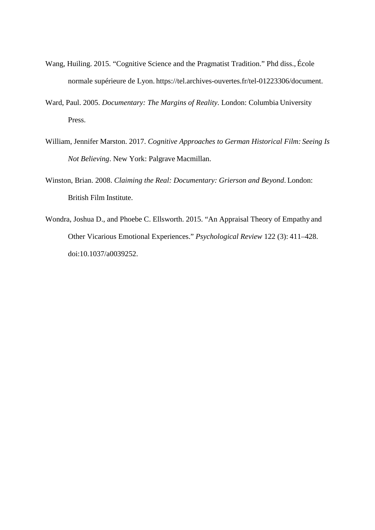- Wang, Huiling. 2015. "Cognitive Science and the Pragmatist Tradition." Phd diss., École normale supérieure de Lyon. https://tel.archives-ouvertes.fr/tel-01223306/document.
- Ward, Paul. 2005. *Documentary: The Margins of Reality*. London: Columbia University Press.
- William, Jennifer Marston. 2017. *Cognitive Approaches to German Historical Film: Seeing Is Not Believing*. New York: Palgrave Macmillan.
- Winston, Brian. 2008. *Claiming the Real: Documentary: Grierson and Beyond*. London: British Film Institute.
- Wondra, Joshua D., and Phoebe C. Ellsworth. 2015. "An Appraisal Theory of Empathy and Other Vicarious Emotional Experiences." *Psychological Review* 122 (3): 411–428. doi:10.1037/a0039252.